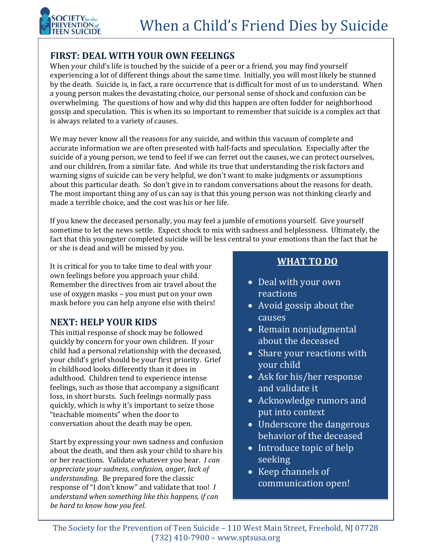

## **FIRST: DEAL WITH YOUR OWN FEELINGS**

When your child's life is touched by the suicide of a peer or a friend, you may find yourself experiencing a lot of different things about the same time. Initially, you will most likely be stunned by the death. Suicide is, in fact, a rare occurrence that is difficult for most of us to understand. When a young person makes the devastating choice, our personal sense of shock and confusion can be overwhelming. The questions of how and why did this happen are often fodder for neighborhood gossip and speculation. This is when its so important to remember that suicide is a complex act that is always related to a variety of causes.

We may never know all the reasons for any suicide, and within this vacuum of complete and accurate information we are often presented with half-facts and speculation. Especially after the suicide of a young person, we tend to feel if we can ferret out the causes, we can protect ourselves, and our children, from a similar fate. And while its true that understanding the risk factors and warning signs of suicide can be very helpful, we don't want to make judgments or assumptions about this particular death. So don't give in to random conversations about the reasons for death. The most important thing any of us can say is that this young person was not thinking clearly and made a terrible choice, and the cost was his or her life.

If you knew the deceased personally, you may feel a jumble of emotions yourself. Give yourself sometime to let the news settle. Expect shock to mix with sadness and helplessness. Ultimately, the fact that this youngster completed suicide will be less central to your emotions than the fact that he or she is dead and will be missed by you.

It is critical for you to take time to deal with your own feelings before you approach your child. Remember the directives from air travel about the use of oxygen masks - you must put on your own mask before you can help anyone else with theirs!

## **NEXT: HELP YOUR KIDS**

This initial response of shock may be followed quickly by concern for your own children. If your child had a personal relationship with the deceased, your child's grief should be your first priority. Grief in childhood looks differently than it does in adulthood. Children tend to experience intense feelings, such as those that accompany a significant loss, in short bursts. Such feelings normally pass quickly, which is why it's important to seize those "teachable moments" when the door to conversation about the death may be open.

Start by expressing your own sadness and confusion about the death, and then ask your child to share his or her reactions. Validate whatever you hear*. I can appreciate your sadness, confusion, anger, lack of understanding.* Be prepared fore the classic response of "I don't know" and validate that too! *I understand when something like this happens, if can be hard to know how you feel.* 

## **WHAT TO DO**

- Deal with your own reactions
- Avoid gossip about the causes
- Remain nonjudgmental about the deceased
- Share your reactions with your child
- Ask for his/her response and validate it
- Acknowledge rumors and put into context
- Underscore the dangerous behavior of the deceased
- Introduce topic of help seeking
- Keep channels of communication open!